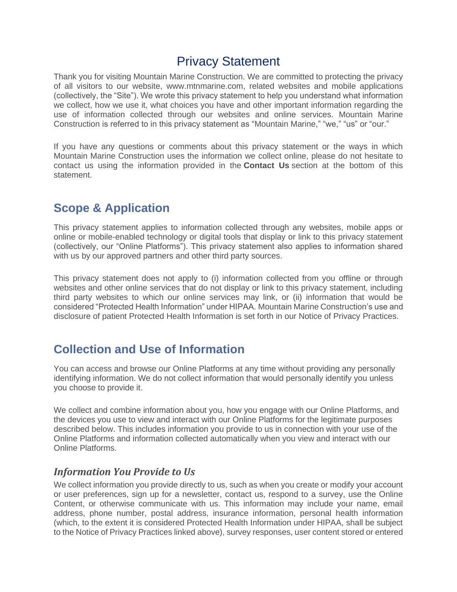## Privacy Statement

Thank you for visiting Mountain Marine Construction. We are committed to protecting the privacy of all visitors to our website, www.mtnmarine.com, related websites and mobile applications (collectively, the "Site"). We wrote this privacy statement to help you understand what information we collect, how we use it, what choices you have and other important information regarding the use of information collected through our websites and online services. Mountain Marine Construction is referred to in this privacy statement as "Mountain Marine," "we," "us" or "our."

If you have any questions or comments about this privacy statement or the ways in which Mountain Marine Construction uses the information we collect online, please do not hesitate to contact us using the information provided in the **Contact Us** section at the bottom of this statement.

## **Scope & Application**

This privacy statement applies to information collected through any websites, mobile apps or online or mobile-enabled technology or digital tools that display or link to this privacy statement (collectively, our "Online Platforms"). This privacy statement also applies to information shared with us by our approved partners and other third party sources.

This privacy statement does not apply to (i) information collected from you offline or through websites and other online services that do not display or link to this privacy statement, including third party websites to which our online services may link, or (ii) information that would be considered "Protected Health Information" under HIPAA. Mountain Marine Construction's use and disclosure of patient Protected Health Information is set forth in our Notice of Privacy Practices.

## **Collection and Use of Information**

You can access and browse our Online Platforms at any time without providing any personally identifying information. We do not collect information that would personally identify you unless you choose to provide it.

We collect and combine information about you, how you engage with our Online Platforms, and the devices you use to view and interact with our Online Platforms for the legitimate purposes described below. This includes information you provide to us in connection with your use of the Online Platforms and information collected automatically when you view and interact with our Online Platforms.

#### *Information You Provide to Us*

We collect information you provide directly to us, such as when you create or modify your account or user preferences, sign up for a newsletter, contact us, respond to a survey, use the Online Content, or otherwise communicate with us. This information may include your name, email address, phone number, postal address, insurance information, personal health information (which, to the extent it is considered Protected Health Information under HIPAA, shall be subject to the Notice of Privacy Practices linked above), survey responses, user content stored or entered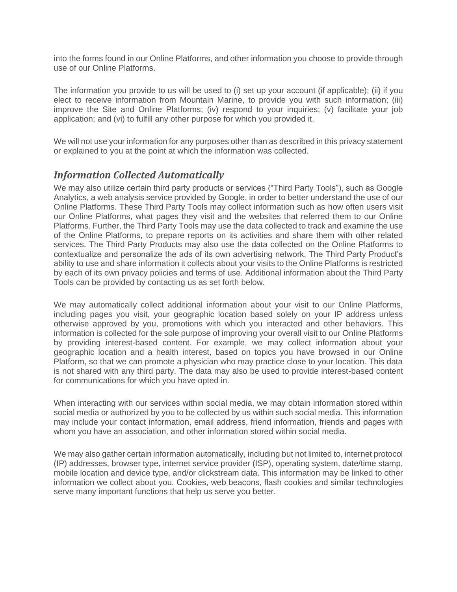into the forms found in our Online Platforms, and other information you choose to provide through use of our Online Platforms.

The information you provide to us will be used to (i) set up your account (if applicable); (ii) if you elect to receive information from Mountain Marine, to provide you with such information; (iii) improve the Site and Online Platforms; (iv) respond to your inquiries; (v) facilitate your job application; and (vi) to fulfill any other purpose for which you provided it.

We will not use your information for any purposes other than as described in this privacy statement or explained to you at the point at which the information was collected.

#### *Information Collected Automatically*

We may also utilize certain third party products or services ("Third Party Tools"), such as Google Analytics, a web analysis service provided by Google, in order to better understand the use of our Online Platforms. These Third Party Tools may collect information such as how often users visit our Online Platforms, what pages they visit and the websites that referred them to our Online Platforms. Further, the Third Party Tools may use the data collected to track and examine the use of the Online Platforms, to prepare reports on its activities and share them with other related services. The Third Party Products may also use the data collected on the Online Platforms to contextualize and personalize the ads of its own advertising network. The Third Party Product's ability to use and share information it collects about your visits to the Online Platforms is restricted by each of its own privacy policies and terms of use. Additional information about the Third Party Tools can be provided by contacting us as set forth below.

We may automatically collect additional information about your visit to our Online Platforms, including pages you visit, your geographic location based solely on your IP address unless otherwise approved by you, promotions with which you interacted and other behaviors. This information is collected for the sole purpose of improving your overall visit to our Online Platforms by providing interest-based content. For example, we may collect information about your geographic location and a health interest, based on topics you have browsed in our Online Platform, so that we can promote a physician who may practice close to your location. This data is not shared with any third party. The data may also be used to provide interest-based content for communications for which you have opted in.

When interacting with our services within social media, we may obtain information stored within social media or authorized by you to be collected by us within such social media. This information may include your contact information, email address, friend information, friends and pages with whom you have an association, and other information stored within social media.

We may also gather certain information automatically, including but not limited to, internet protocol (IP) addresses, browser type, internet service provider (ISP), operating system, date/time stamp, mobile location and device type, and/or clickstream data. This information may be linked to other information we collect about you. Cookies, web beacons, flash cookies and similar technologies serve many important functions that help us serve you better.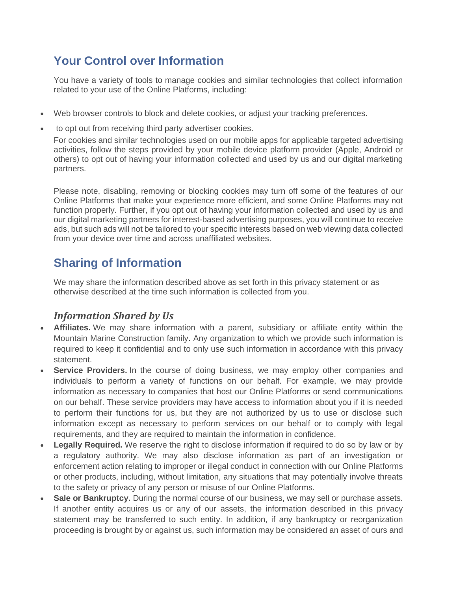# **Your Control over Information**

You have a variety of tools to manage cookies and similar technologies that collect information related to your use of the Online Platforms, including:

- Web browser controls to block and delete cookies, or adjust your tracking preferences.
- to opt out from receiving third party advertiser cookies.

For cookies and similar technologies used on our mobile apps for applicable targeted advertising activities, follow the steps provided by your mobile device platform provider (Apple, Android or others) to opt out of having your information collected and used by us and our digital marketing partners.

Please note, disabling, removing or blocking cookies may turn off some of the features of our Online Platforms that make your experience more efficient, and some Online Platforms may not function properly. Further, if you opt out of having your information collected and used by us and our digital marketing partners for interest-based advertising purposes, you will continue to receive ads, but such ads will not be tailored to your specific interests based on web viewing data collected from your device over time and across unaffiliated websites.

## **Sharing of Information**

We may share the information described above as set forth in this privacy statement or as otherwise described at the time such information is collected from you.

#### *Information Shared by Us*

- **Affiliates.** We may share information with a parent, subsidiary or affiliate entity within the Mountain Marine Construction family. Any organization to which we provide such information is required to keep it confidential and to only use such information in accordance with this privacy statement.
- **Service Providers.** In the course of doing business, we may employ other companies and individuals to perform a variety of functions on our behalf. For example, we may provide information as necessary to companies that host our Online Platforms or send communications on our behalf. These service providers may have access to information about you if it is needed to perform their functions for us, but they are not authorized by us to use or disclose such information except as necessary to perform services on our behalf or to comply with legal requirements, and they are required to maintain the information in confidence.
- **Legally Required.** We reserve the right to disclose information if required to do so by law or by a regulatory authority. We may also disclose information as part of an investigation or enforcement action relating to improper or illegal conduct in connection with our Online Platforms or other products, including, without limitation, any situations that may potentially involve threats to the safety or privacy of any person or misuse of our Online Platforms.
- **Sale or Bankruptcy.** During the normal course of our business, we may sell or purchase assets. If another entity acquires us or any of our assets, the information described in this privacy statement may be transferred to such entity. In addition, if any bankruptcy or reorganization proceeding is brought by or against us, such information may be considered an asset of ours and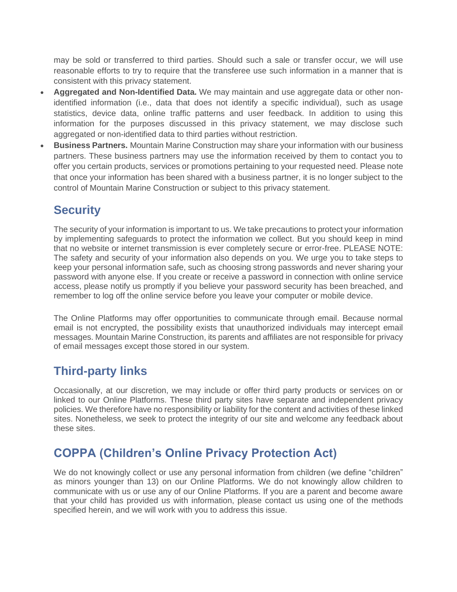may be sold or transferred to third parties. Should such a sale or transfer occur, we will use reasonable efforts to try to require that the transferee use such information in a manner that is consistent with this privacy statement.

- **Aggregated and Non-Identified Data.** We may maintain and use aggregate data or other nonidentified information (i.e., data that does not identify a specific individual), such as usage statistics, device data, online traffic patterns and user feedback. In addition to using this information for the purposes discussed in this privacy statement, we may disclose such aggregated or non-identified data to third parties without restriction.
- **Business Partners.** Mountain Marine Construction may share your information with our business partners. These business partners may use the information received by them to contact you to offer you certain products, services or promotions pertaining to your requested need. Please note that once your information has been shared with a business partner, it is no longer subject to the control of Mountain Marine Construction or subject to this privacy statement.

# **Security**

The security of your information is important to us. We take precautions to protect your information by implementing safeguards to protect the information we collect. But you should keep in mind that no website or internet transmission is ever completely secure or error-free. PLEASE NOTE: The safety and security of your information also depends on you. We urge you to take steps to keep your personal information safe, such as choosing strong passwords and never sharing your password with anyone else. If you create or receive a password in connection with online service access, please notify us promptly if you believe your password security has been breached, and remember to log off the online service before you leave your computer or mobile device.

The Online Platforms may offer opportunities to communicate through email. Because normal email is not encrypted, the possibility exists that unauthorized individuals may intercept email messages. Mountain Marine Construction, its parents and affiliates are not responsible for privacy of email messages except those stored in our system.

## **Third-party links**

Occasionally, at our discretion, we may include or offer third party products or services on or linked to our Online Platforms. These third party sites have separate and independent privacy policies. We therefore have no responsibility or liability for the content and activities of these linked sites. Nonetheless, we seek to protect the integrity of our site and welcome any feedback about these sites.

# **COPPA (Children's Online Privacy Protection Act)**

We do not knowingly collect or use any personal information from children (we define "children" as minors younger than 13) on our Online Platforms. We do not knowingly allow children to communicate with us or use any of our Online Platforms. If you are a parent and become aware that your child has provided us with information, please contact us using one of the methods specified herein, and we will work with you to address this issue.